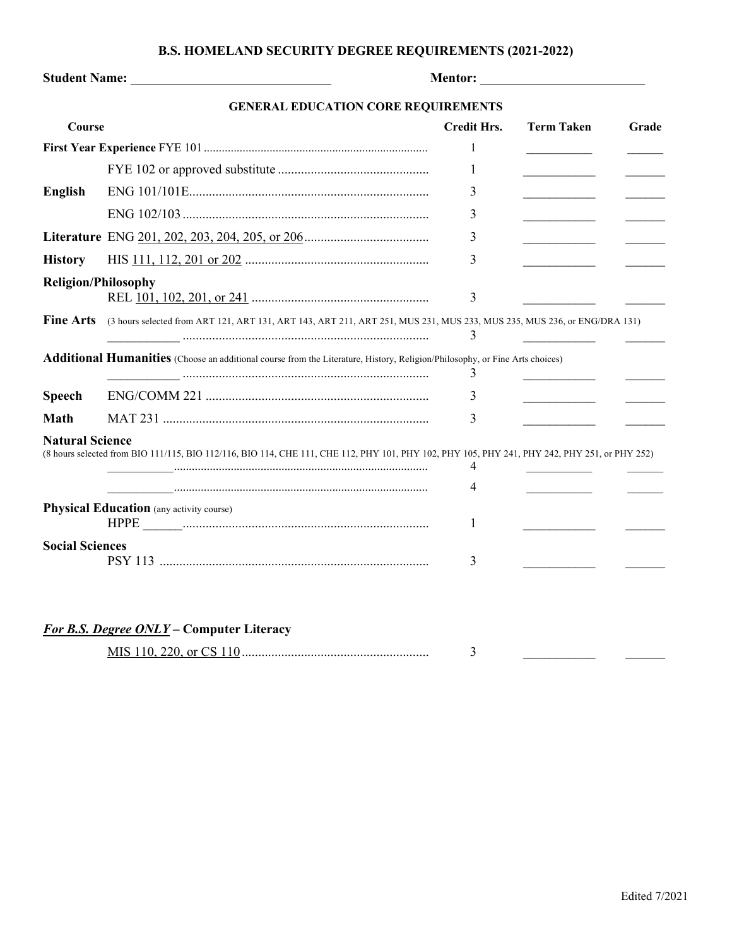## **B.S. HOMELAND SECURITY DEGREE REQUIREMENTS (2021-2022)**

| Student Name: Names    |                                                                                                                                               |                    |                                              |       |
|------------------------|-----------------------------------------------------------------------------------------------------------------------------------------------|--------------------|----------------------------------------------|-------|
|                        | <b>GENERAL EDUCATION CORE REQUIREMENTS</b>                                                                                                    |                    |                                              |       |
| Course                 |                                                                                                                                               | <b>Credit Hrs.</b> | <b>Term Taken</b>                            | Grade |
|                        |                                                                                                                                               | 1                  |                                              |       |
|                        |                                                                                                                                               | 1                  |                                              |       |
| <b>English</b>         |                                                                                                                                               | 3                  | <u> 1990 - Johann Barbara, martin a</u>      |       |
|                        |                                                                                                                                               | 3                  | the control of the control of the control of |       |
|                        |                                                                                                                                               | 3                  | ______________________                       |       |
| <b>History</b>         |                                                                                                                                               | 3                  |                                              |       |
|                        | <b>Religion/Philosophy</b>                                                                                                                    |                    |                                              |       |
|                        |                                                                                                                                               | 3                  |                                              |       |
| <b>Fine Arts</b>       | (3 hours selected from ART 121, ART 131, ART 143, ART 211, ART 251, MUS 231, MUS 233, MUS 235, MUS 236, or ENG/DRA 131)                       | 3                  |                                              |       |
|                        | Additional Humanities (Choose an additional course from the Literature, History, Religion/Philosophy, or Fine Arts choices)                   | 3                  |                                              |       |
| <b>Speech</b>          |                                                                                                                                               | 3                  |                                              |       |
| <b>Math</b>            |                                                                                                                                               | 3                  |                                              |       |
| <b>Natural Science</b> | (8 hours selected from BIO 111/115, BIO 112/116, BIO 114, CHE 111, CHE 112, PHY 101, PHY 102, PHY 105, PHY 241, PHY 242, PHY 251, or PHY 252) |                    |                                              |       |
|                        |                                                                                                                                               | 4                  |                                              |       |
|                        |                                                                                                                                               | 4                  | <u> 1980 - Antonio Alemania (</u>            |       |
|                        | <b>Physical Education</b> (any activity course)                                                                                               | 1                  |                                              |       |
| <b>Social Sciences</b> |                                                                                                                                               |                    |                                              |       |
|                        |                                                                                                                                               | 3                  |                                              |       |

| or CS |  |
|-------|--|